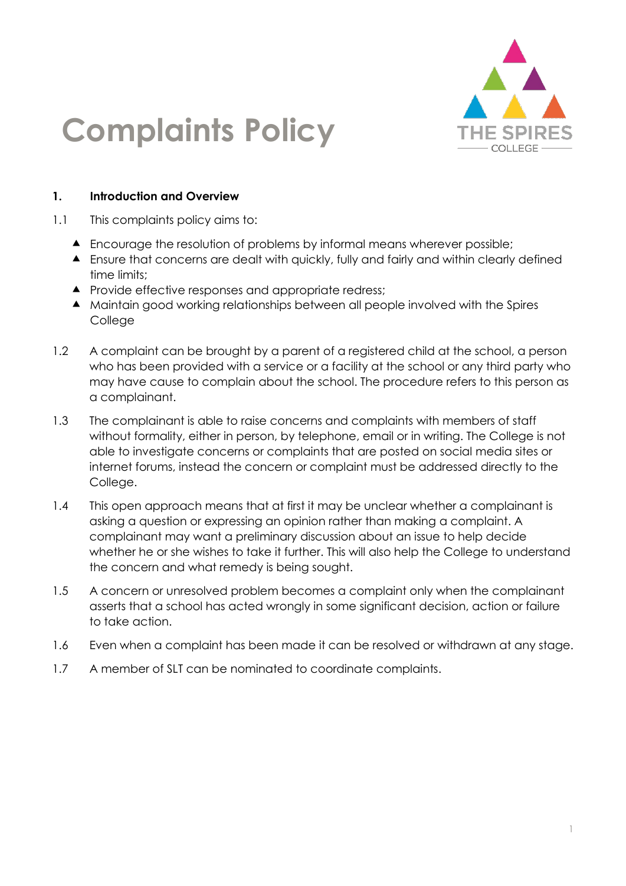

# **Complaints Policy**

#### **1. Introduction and Overview**

- 1.1 This complaints policy aims to:
	- Encourage the resolution of problems by informal means wherever possible;
	- Ensure that concerns are dealt with quickly, fully and fairly and within clearly defined time limits;
	- **A** Provide effective responses and appropriate redress;
	- Maintain good working relationships between all people involved with the Spires College
- 1.2 A complaint can be brought by a parent of a registered child at the school, a person who has been provided with a service or a facility at the school or any third party who may have cause to complain about the school. The procedure refers to this person as a complainant.
- 1.3 The complainant is able to raise concerns and complaints with members of staff without formality, either in person, by telephone, email or in writing. The College is not able to investigate concerns or complaints that are posted on social media sites or internet forums, instead the concern or complaint must be addressed directly to the College.
- 1.4 This open approach means that at first it may be unclear whether a complainant is asking a question or expressing an opinion rather than making a complaint. A complainant may want a preliminary discussion about an issue to help decide whether he or she wishes to take it further. This will also help the College to understand the concern and what remedy is being sought.
- 1.5 A concern or unresolved problem becomes a complaint only when the complainant asserts that a school has acted wrongly in some significant decision, action or failure to take action.
- 1.6 Even when a complaint has been made it can be resolved or withdrawn at any stage.
- 1.7 A member of SLT can be nominated to coordinate complaints.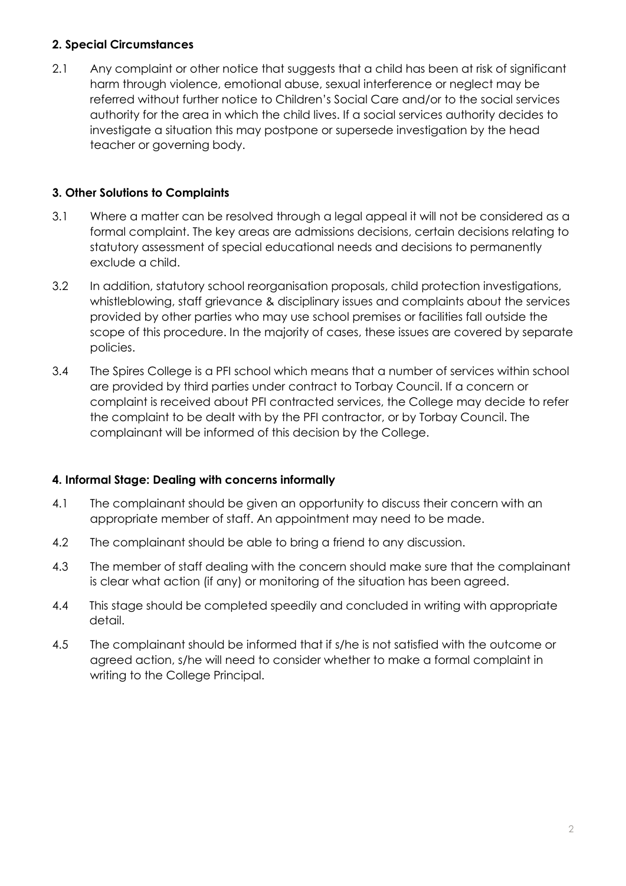#### **2. Special Circumstances**

2.1 Any complaint or other notice that suggests that a child has been at risk of significant harm through violence, emotional abuse, sexual interference or neglect may be referred without further notice to Children's Social Care and/or to the social services authority for the area in which the child lives. If a social services authority decides to investigate a situation this may postpone or supersede investigation by the head teacher or governing body.

## **3. Other Solutions to Complaints**

- 3.1 Where a matter can be resolved through a legal appeal it will not be considered as a formal complaint. The key areas are admissions decisions, certain decisions relating to statutory assessment of special educational needs and decisions to permanently exclude a child.
- 3.2 In addition, statutory school reorganisation proposals, child protection investigations, whistleblowing, staff grievance & disciplinary issues and complaints about the services provided by other parties who may use school premises or facilities fall outside the scope of this procedure. In the majority of cases, these issues are covered by separate policies.
- 3.4 The Spires College is a PFI school which means that a number of services within school are provided by third parties under contract to Torbay Council. If a concern or complaint is received about PFI contracted services, the College may decide to refer the complaint to be dealt with by the PFI contractor, or by Torbay Council. The complainant will be informed of this decision by the College.

## **4. Informal Stage: Dealing with concerns informally**

- 4.1 The complainant should be given an opportunity to discuss their concern with an appropriate member of staff. An appointment may need to be made.
- 4.2 The complainant should be able to bring a friend to any discussion.
- 4.3 The member of staff dealing with the concern should make sure that the complainant is clear what action (if any) or monitoring of the situation has been agreed.
- 4.4 This stage should be completed speedily and concluded in writing with appropriate detail.
- 4.5 The complainant should be informed that if s/he is not satisfied with the outcome or agreed action, s/he will need to consider whether to make a formal complaint in writing to the College Principal.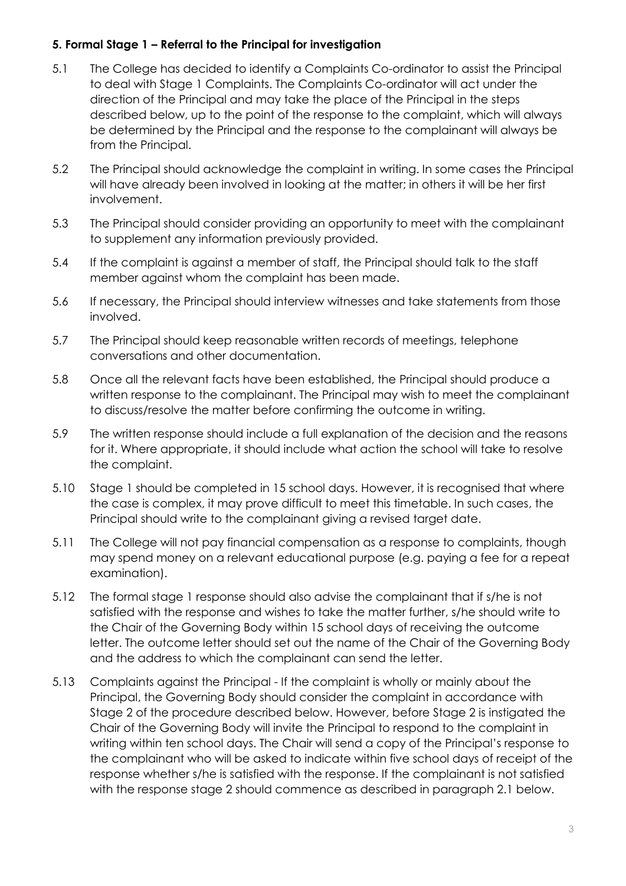#### **5. Formal Stage 1 – Referral to the Principal for investigation**

- 5.1 The College has decided to identify a Complaints Co-ordinator to assist the Principal to deal with Stage 1 Complaints. The Complaints Co-ordinator will act under the direction of the Principal and may take the place of the Principal in the steps described below, up to the point of the response to the complaint, which will always be determined by the Principal and the response to the complainant will always be from the Principal.
- 5.2 The Principal should acknowledge the complaint in writing. In some cases the Principal will have already been involved in looking at the matter; in others it will be her first involvement.
- 5.3 The Principal should consider providing an opportunity to meet with the complainant to supplement any information previously provided.
- 5.4 If the complaint is against a member of staff, the Principal should talk to the staff member against whom the complaint has been made.
- 5.6 If necessary, the Principal should interview witnesses and take statements from those involved.
- 5.7 The Principal should keep reasonable written records of meetings, telephone conversations and other documentation.
- 5.8 Once all the relevant facts have been established, the Principal should produce a written response to the complainant. The Principal may wish to meet the complainant to discuss/resolve the matter before confirming the outcome in writing.
- 5.9 The written response should include a full explanation of the decision and the reasons for it. Where appropriate, it should include what action the school will take to resolve the complaint.
- 5.10 Stage 1 should be completed in 15 school days. However, it is recognised that where the case is complex, it may prove difficult to meet this timetable. In such cases, the Principal should write to the complainant giving a revised target date.
- 5.11 The College will not pay financial compensation as a response to complaints, though may spend money on a relevant educational purpose (e.g. paying a fee for a repeat examination).
- 5.12 The formal stage 1 response should also advise the complainant that if s/he is not satisfied with the response and wishes to take the matter further, s/he should write to the Chair of the Governing Body within 15 school days of receiving the outcome letter. The outcome letter should set out the name of the Chair of the Governing Body and the address to which the complainant can send the letter.
- 5.13 Complaints against the Principal If the complaint is wholly or mainly about the Principal, the Governing Body should consider the complaint in accordance with Stage 2 of the procedure described below. However, before Stage 2 is instigated the Chair of the Governing Body will invite the Principal to respond to the complaint in writing within ten school days. The Chair will send a copy of the Principal's response to the complainant who will be asked to indicate within five school days of receipt of the response whether s/he is satisfied with the response. If the complainant is not satisfied with the response stage 2 should commence as described in paragraph 2.1 below.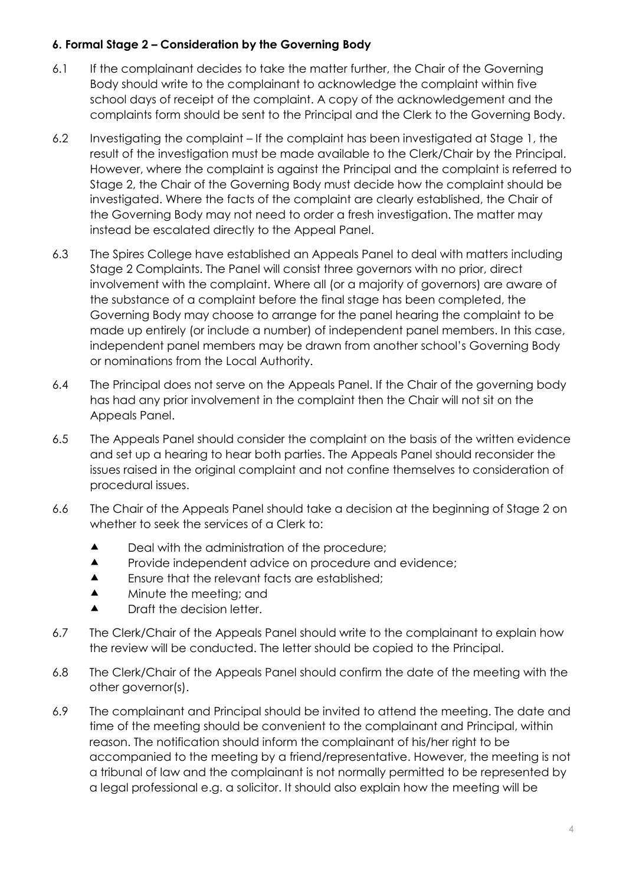#### **6. Formal Stage 2 – Consideration by the Governing Body**

- 6.1 If the complainant decides to take the matter further, the Chair of the Governing Body should write to the complainant to acknowledge the complaint within five school days of receipt of the complaint. A copy of the acknowledgement and the complaints form should be sent to the Principal and the Clerk to the Governing Body.
- 6.2 Investigating the complaint If the complaint has been investigated at Stage 1, the result of the investigation must be made available to the Clerk/Chair by the Principal. However, where the complaint is against the Principal and the complaint is referred to Stage 2, the Chair of the Governing Body must decide how the complaint should be investigated. Where the facts of the complaint are clearly established, the Chair of the Governing Body may not need to order a fresh investigation. The matter may instead be escalated directly to the Appeal Panel.
- 6.3 The Spires College have established an Appeals Panel to deal with matters including Stage 2 Complaints. The Panel will consist three governors with no prior, direct involvement with the complaint. Where all (or a majority of governors) are aware of the substance of a complaint before the final stage has been completed, the Governing Body may choose to arrange for the panel hearing the complaint to be made up entirely (or include a number) of independent panel members. In this case, independent panel members may be drawn from another school's Governing Body or nominations from the Local Authority.
- 6.4 The Principal does not serve on the Appeals Panel. If the Chair of the governing body has had any prior involvement in the complaint then the Chair will not sit on the Appeals Panel.
- 6.5 The Appeals Panel should consider the complaint on the basis of the written evidence and set up a hearing to hear both parties. The Appeals Panel should reconsider the issues raised in the original complaint and not confine themselves to consideration of procedural issues.
- 6.6 The Chair of the Appeals Panel should take a decision at the beginning of Stage 2 on whether to seek the services of a Clerk to:
	- ▲ Deal with the administration of the procedure;
	- **A** Provide independent advice on procedure and evidence:
	- **A** Ensure that the relevant facts are established;
	- **A** Minute the meeting; and
	- **A** Draft the decision letter.
- 6.7 The Clerk/Chair of the Appeals Panel should write to the complainant to explain how the review will be conducted. The letter should be copied to the Principal.
- 6.8 The Clerk/Chair of the Appeals Panel should confirm the date of the meeting with the other governor(s).
- 6.9 The complainant and Principal should be invited to attend the meeting. The date and time of the meeting should be convenient to the complainant and Principal, within reason. The notification should inform the complainant of his/her right to be accompanied to the meeting by a friend/representative. However, the meeting is not a tribunal of law and the complainant is not normally permitted to be represented by a legal professional e.g. a solicitor. It should also explain how the meeting will be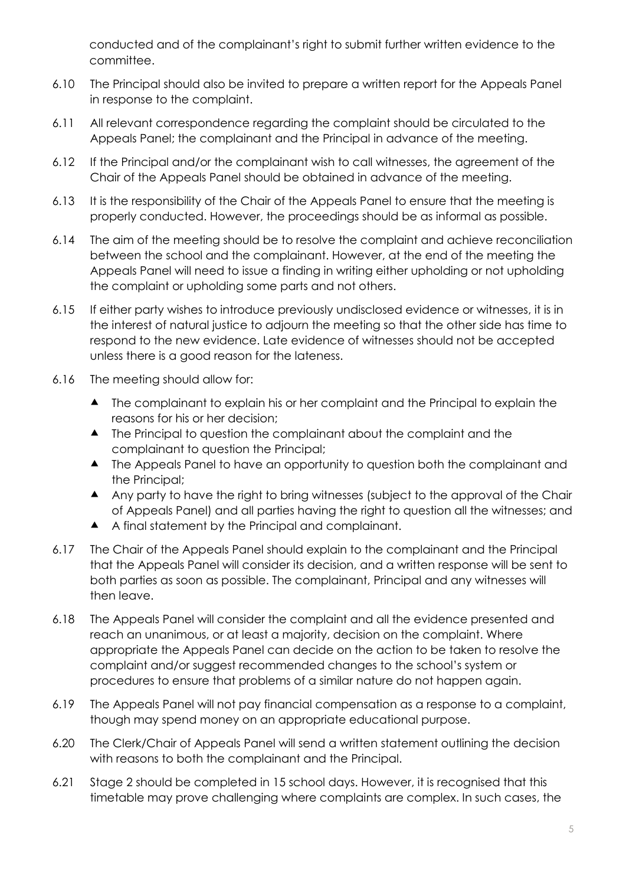conducted and of the complainant's right to submit further written evidence to the committee.

- 6.10 The Principal should also be invited to prepare a written report for the Appeals Panel in response to the complaint.
- 6.11 All relevant correspondence regarding the complaint should be circulated to the Appeals Panel; the complainant and the Principal in advance of the meeting.
- 6.12 If the Principal and/or the complainant wish to call witnesses, the agreement of the Chair of the Appeals Panel should be obtained in advance of the meeting.
- 6.13 It is the responsibility of the Chair of the Appeals Panel to ensure that the meeting is properly conducted. However, the proceedings should be as informal as possible.
- 6.14 The aim of the meeting should be to resolve the complaint and achieve reconciliation between the school and the complainant. However, at the end of the meeting the Appeals Panel will need to issue a finding in writing either upholding or not upholding the complaint or upholding some parts and not others.
- 6.15 If either party wishes to introduce previously undisclosed evidence or witnesses, it is in the interest of natural justice to adjourn the meeting so that the other side has time to respond to the new evidence. Late evidence of witnesses should not be accepted unless there is a good reason for the lateness.
- 6.16 The meeting should allow for:
	- ▲ The complainant to explain his or her complaint and the Principal to explain the reasons for his or her decision;
	- ▲ The Principal to question the complainant about the complaint and the complainant to question the Principal;
	- ▲ The Appeals Panel to have an opportunity to question both the complainant and the Principal;
	- Any party to have the right to bring witnesses (subject to the approval of the Chair of Appeals Panel) and all parties having the right to question all the witnesses; and
	- A final statement by the Principal and complainant.
- 6.17 The Chair of the Appeals Panel should explain to the complainant and the Principal that the Appeals Panel will consider its decision, and a written response will be sent to both parties as soon as possible. The complainant, Principal and any witnesses will then leave.
- 6.18 The Appeals Panel will consider the complaint and all the evidence presented and reach an unanimous, or at least a majority, decision on the complaint. Where appropriate the Appeals Panel can decide on the action to be taken to resolve the complaint and/or suggest recommended changes to the school's system or procedures to ensure that problems of a similar nature do not happen again.
- 6.19 The Appeals Panel will not pay financial compensation as a response to a complaint, though may spend money on an appropriate educational purpose.
- 6.20 The Clerk/Chair of Appeals Panel will send a written statement outlining the decision with reasons to both the complainant and the Principal.
- 6.21 Stage 2 should be completed in 15 school days. However, it is recognised that this timetable may prove challenging where complaints are complex. In such cases, the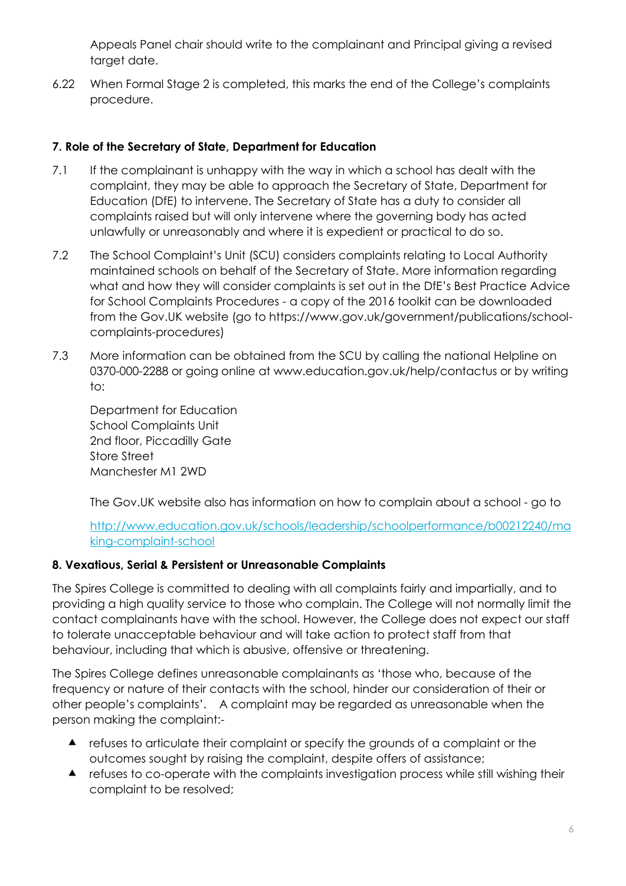Appeals Panel chair should write to the complainant and Principal giving a revised target date.

6.22 When Formal Stage 2 is completed, this marks the end of the College's complaints procedure.

## **7. Role of the Secretary of State, Department for Education**

- 7.1 If the complainant is unhappy with the way in which a school has dealt with the complaint, they may be able to approach the Secretary of State, Department for Education (DfE) to intervene. The Secretary of State has a duty to consider all complaints raised but will only intervene where the governing body has acted unlawfully or unreasonably and where it is expedient or practical to do so.
- 7.2 The School Complaint's Unit (SCU) considers complaints relating to Local Authority maintained schools on behalf of the Secretary of State. More information regarding what and how they will consider complaints is set out in the DfE's Best Practice Advice for School Complaints Procedures - a copy of the 2016 toolkit can be downloaded from the Gov.UK website (go to https://www.gov.uk/government/publications/schoolcomplaints-procedures)
- 7.3 More information can be obtained from the SCU by calling the national Helpline on 0370-000-2288 or going online at www.education.gov.uk/help/contactus or by writing to:

Department for Education School Complaints Unit 2nd floor, Piccadilly Gate Store Street Manchester M1 2WD

The Gov.UK website also has information on how to complain about a school - go to

## [http://www.education.gov.uk/schools/leadership/schoolperformance/b00212240/ma](http://www.education.gov.uk/schools/leadership/schoolperformance/b00212240/making-complaint-school) [king-complaint-school](http://www.education.gov.uk/schools/leadership/schoolperformance/b00212240/making-complaint-school)

## **8. Vexatious, Serial & Persistent or Unreasonable Complaints**

The Spires College is committed to dealing with all complaints fairly and impartially, and to providing a high quality service to those who complain. The College will not normally limit the contact complainants have with the school. However, the College does not expect our staff to tolerate unacceptable behaviour and will take action to protect staff from that behaviour, including that which is abusive, offensive or threatening.

The Spires College defines unreasonable complainants as 'those who, because of the frequency or nature of their contacts with the school, hinder our consideration of their or other people's complaints'. A complaint may be regarded as unreasonable when the person making the complaint:-

- refuses to articulate their complaint or specify the grounds of a complaint or the outcomes sought by raising the complaint, despite offers of assistance;
- refuses to co-operate with the complaints investigation process while still wishing their complaint to be resolved;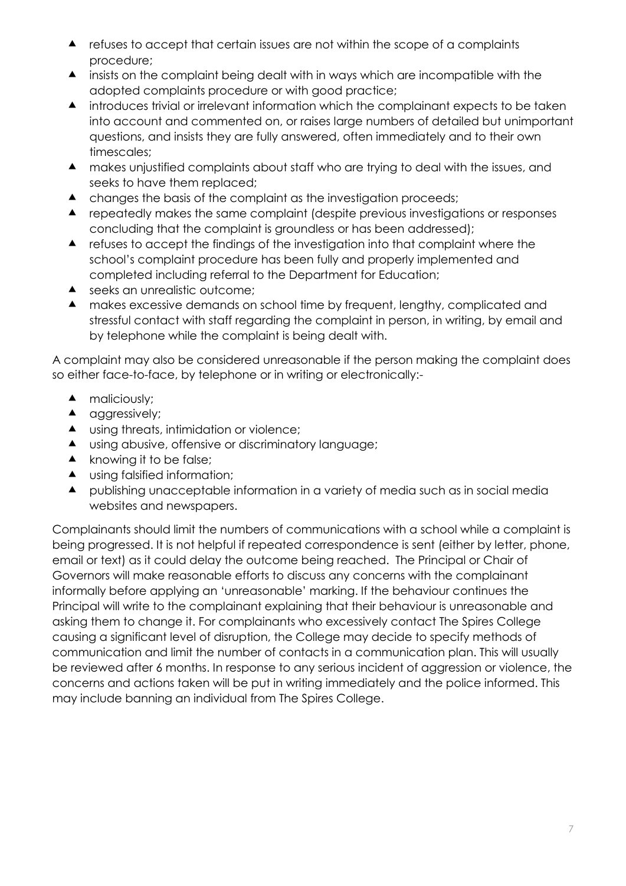- refuses to accept that certain issues are not within the scope of a complaints procedure;
- insists on the complaint being dealt with in ways which are incompatible with the adopted complaints procedure or with good practice;
- introduces trivial or irrelevant information which the complainant expects to be taken into account and commented on, or raises large numbers of detailed but unimportant questions, and insists they are fully answered, often immediately and to their own timescales;
- makes unjustified complaints about staff who are trying to deal with the issues, and seeks to have them replaced;
- A changes the basis of the complaint as the investigation proceeds;
- repeatedly makes the same complaint (despite previous investigations or responses concluding that the complaint is groundless or has been addressed);
- refuses to accept the findings of the investigation into that complaint where the school's complaint procedure has been fully and properly implemented and completed including referral to the Department for Education;
- ▲ seeks an unrealistic outcome;
- makes excessive demands on school time by frequent, lengthy, complicated and stressful contact with staff regarding the complaint in person, in writing, by email and by telephone while the complaint is being dealt with.

A complaint may also be considered unreasonable if the person making the complaint does so either face-to-face, by telephone or in writing or electronically:-

- $\blacktriangle$  maliciously;
- **A** aggressively;
- **A** using threats, intimidation or violence;
- ▲ using abusive, offensive or discriminatory language;
- $\blacktriangle$  knowing it to be false;
- ▲ using falsified information;
- publishing unacceptable information in a variety of media such as in social media websites and newspapers.

Complainants should limit the numbers of communications with a school while a complaint is being progressed. It is not helpful if repeated correspondence is sent (either by letter, phone, email or text) as it could delay the outcome being reached. The Principal or Chair of Governors will make reasonable efforts to discuss any concerns with the complainant informally before applying an 'unreasonable' marking. If the behaviour continues the Principal will write to the complainant explaining that their behaviour is unreasonable and asking them to change it. For complainants who excessively contact The Spires College causing a significant level of disruption, the College may decide to specify methods of communication and limit the number of contacts in a communication plan. This will usually be reviewed after 6 months. In response to any serious incident of aggression or violence, the concerns and actions taken will be put in writing immediately and the police informed. This may include banning an individual from The Spires College.